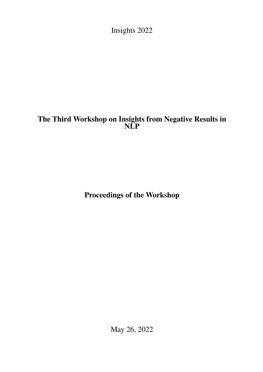<span id="page-0-0"></span>Insights 2022

# The Third Workshop on Insights from Negative Results in NLP

Proceedings of the Workshop

May 26, 2022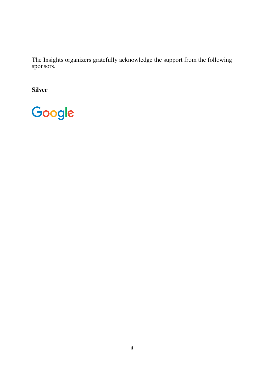The Insights organizers gratefully acknowledge the support from the following sponsors.

Silver

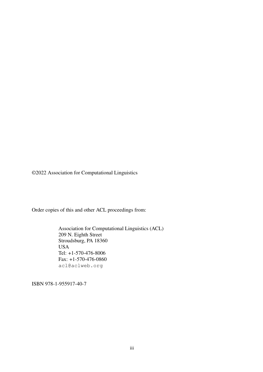©2022 Association for Computational Linguistics

Order copies of this and other ACL proceedings from:

Association for Computational Linguistics (ACL) 209 N. Eighth Street Stroudsburg, PA 18360 USA Tel: +1-570-476-8006 Fax: +1-570-476-0860 acl@aclweb.org

ISBN 978-1-955917-40-7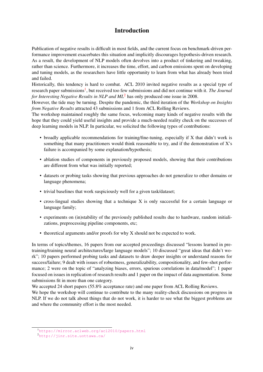## Introduction

Publication of negative results is difficult in most fields, and the current focus on benchmark-driven performance improvement exacerbates this situation and implicitly discourages hypothesis-driven research. As a result, the development of NLP models often devolves into a product of tinkering and tweaking, rather than science. Furthermore, it increases the time, effort, and carbon emissions spent on developing and tuning models, as the researchers have little opportunity to learn from what has already been tried and failed.

Historically, this tendency is hard to combat. ACL 2010 invited negative results as a special type of research paper submissions<sup>[1](#page-3-0)</sup>, but received too few submissions and did not continue with it. *The Journal for Interesting Negative Results in NLP and ML*[2](#page-3-1) has only produced one issue in 2008.

However, the tide may be turning. Despite the pandemic, the third iteration of the *Workshop on Insights from Negative Results* attracted 43 submissions and 1 from ACL Rolling Reviews.

The workshop maintained roughly the same focus, welcoming many kinds of negative results with the hope that they could yield useful insights and provide a much-needed reality check on the successes of deep learning models in NLP. In particular, we solicited the following types of contributions:

- broadly applicable recommendations for training/fine-tuning, especially if X that didn't work is something that many practitioners would think reasonable to try, and if the demonstration of X's failure is accompanied by some explanation/hypothesis;
- ablation studies of components in previously proposed models, showing that their contributions are different from what was initially reported;
- datasets or probing tasks showing that previous approaches do not generalize to other domains or language phenomena;
- trivial baselines that work suspiciously well for a given task/dataset;
- cross-lingual studies showing that a technique X is only successful for a certain language or language family;
- experiments on (in)stability of the previously published results due to hardware, random initializations, preprocessing pipeline components, etc;
- theoretical arguments and/or proofs for why X should not be expected to work.

In terms of topics/themes, 16 papers from our accepted proceedings discussed "lessons learned in pretraining/training neural architectures/large language models"; 10 discussed "great ideas that didn't work"; 10 papers performed probing tasks and datasets to draw deeper insights or understand reasons for success/failure; 9 dealt with issues of robustness, generalizability, compositionality, and few-shot performance; 2 were on the topic of "analyzing biases, errors, spurious correlations in data/model"; 1 paper focused on issues in replication of research results and 1 paper on the impact of data augmentation. Some submissions fit in more than one category.

We accepted 24 short papers (55.8% acceptance rate) and one paper from ACL Rolling Reviews.

We hope the workshop will continue to contribute to the many reality-check discussions on progress in NLP. If we do not talk about things that do not work, it is harder to see what the biggest problems are and where the community effort is the most needed.

<span id="page-3-0"></span><sup>1</sup><https://mirror.aclweb.org/acl2010/papers.html>

<span id="page-3-1"></span><sup>2</sup><http://jinr.site.uottawa.ca/>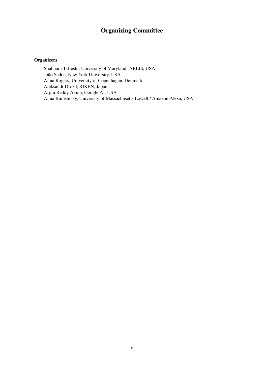## Organizing Committee

### **Organizers**

Shabnam Tafreshi, University of Maryland: ARLIS, USA João Sedoc, New York University, USA Anna Rogers, University of Copenhagen, Denmark Aleksandr Drozd, RIKEN, Japan Arjun Reddy Akula, Google AI, USA Anna Rumshisky, University of Massachusetts Lowell / Amazon Alexa, USA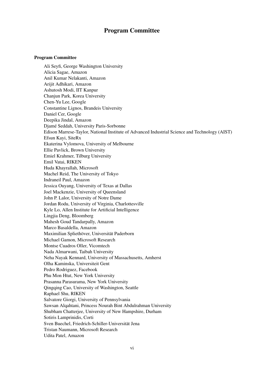## Program Committee

### Program Committee

Ali Seyfi, George Washington University Alicia Sagae, Amazon Anil Kumar Nelakanti, Amazon Arijit Adhikari, Amazon Ashutosh Modi, IIT Kanpur Chanjun Park, Korea University Chen-Yu Lee, Google Constantine Lignos, Brandeis University Daniel Cer, Google Deepika Jindal, Amazon Djamé Seddah, University Paris-Sorbonne Edison Marrese-Taylor, National Institute of Advanced Industrial Science and Technology (AIST) Efsun Kayi, SiteRx Ekaterina Vylomova, University of Melbourne Ellie Pavlick, Brown University Emiel Krahmer, Tilburg University Emil Vatai, RIKEN Huda Khayrallah, Microsoft Machel Reid, The University of Tokyo Indraneil Paul, Amazon Jessica Ouyang, University of Texas at Dallas Joel Mackenzie, University of Queensland John P. Lalor, University of Notre Dame Jordan Rodu, University of Virginia, Charlottesville Kyle Lo, Allen Institute for Artificial Intelligence Lingjia Deng, Bloomberg Mahesh Goud Tandarpally, Amazon Marco Basaldella, Amazon Maximilian Spliethöver, Universität Paderborn Michael Gamon, Microsoft Research Montse Cuadros Oller, Vicomtech Nada Almarwani, Taibah University Neha Nayak Kennard, University of Massachusetts, Amherst Olha Kaminska, Universiteit Gent Pedro Rodriguez, Facebook Phu Mon Htut, New York University Prasanna Parasurama, New York University Qingqing Cao, University of Washington, Seattle Raphael Shu, RIKEN Salvatore Giorgi, University of Pennsylvania Sawsan Alqahtani, Princess Nourah Bint Abdulrahman University Shubham Chatterjee, University of New Hampshire, Durham Sotiris Lamprinidis, Corti Sven Buechel, Friedrich-Schiller-Universität Jena Tristan Naumann, Microsoft Research Udita Patel, Amazon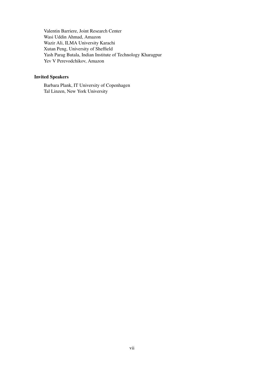Valentin Barriere, Joint Research Center Wasi Uddin Ahmad, Amazon Wazir Ali, ILMA University Karachi Xutan Peng, University of Sheffield Yash Parag Butala, Indian Institute of Technology Kharagpur Yev V Perevodchikov, Amazon

### Invited Speakers

Barbara Plank, IT University of Copenhagen Tal Linzen, New York University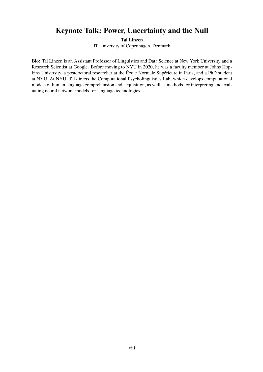## Keynote Talk: Power, Uncertainty and the Null

Tal Linzen

IT University of Copenhagen, Denmark

Bio: Tal Linzen is an Assistant Professor of Linguistics and Data Science at New York University and a Research Scientist at Google. Before moving to NYU in 2020, he was a faculty member at Johns Hopkins University, a postdoctoral researcher at the École Normale Supérieure in Paris, and a PhD student at NYU. At NYU, Tal directs the Computational Psycholinguistics Lab, which develops computational models of human language comprehension and acquisition, as well as methods for interpreting and evaluating neural network models for language technologies.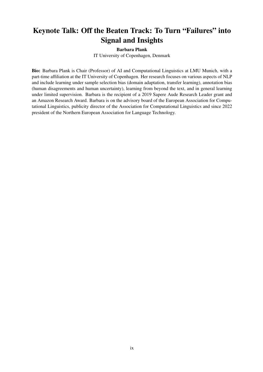# Keynote Talk: Off the Beaten Track: To Turn "Failures" into Signal and Insights

### Barbara Plank

IT University of Copenhagen, Denmark

Bio: Barbara Plank is Chair (Professor) of AI and Computational Linguistics at LMU Munich, with a part-time affiliation at the IT University of Copenhagen. Her research focuses on various aspects of NLP and include learning under sample selection bias (domain adaptation, transfer learning), annotation bias (human disagreements and human uncertainty), learning from beyond the text, and in general learning under limited supervision. Barbara is the recipient of a 2019 Sapere Aude Research Leader grant and an Amazon Research Award. Barbara is on the advisory board of the European Association for Computational Linguistics, publicity director of the Association for Computational Linguistics and since 2022 president of the Northern European Association for Language Technology.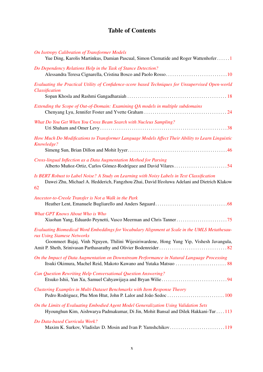# Table of Contents

| <b>On Isotropy Calibration of Transformer Models</b><br>Yue Ding, Karolis Martinkus, Damian Pascual, Simon Clematide and Roger Wattenhofer1                                                                              |  |
|--------------------------------------------------------------------------------------------------------------------------------------------------------------------------------------------------------------------------|--|
| Do Dependency Relations Help in the Task of Stance Detection?                                                                                                                                                            |  |
| Evaluating the Practical Utility of Confidence-score based Techniques for Unsupervised Open-world<br>Classification                                                                                                      |  |
| Extending the Scope of Out-of-Domain: Examining QA models in multiple subdomains                                                                                                                                         |  |
| What Do You Get When You Cross Beam Search with Nucleus Sampling?                                                                                                                                                        |  |
| How Much Do Modifications to Transformer Language Models Affect Their Ability to Learn Linguistic<br>Knowledge?                                                                                                          |  |
| Cross-lingual Inflection as a Data Augmentation Method for Parsing                                                                                                                                                       |  |
| Is BERT Robust to Label Noise? A Study on Learning with Noisy Labels in Text Classification<br>Dawei Zhu, Michael A. Hedderich, Fangzhou Zhai, David Ifeoluwa Adelani and Dietrich Klakow<br>62                          |  |
| Ancestor-to-Creole Transfer is Not a Walk in the Park                                                                                                                                                                    |  |
| What GPT Knows About Who is Who                                                                                                                                                                                          |  |
| Evaluating Biomedical Word Embeddings for Vocabulary Alignment at Scale in the UMLS Metathesau-<br>rus Using Siamese Networks<br>Goonmeet Bajaj, Vinh Nguyen, Thilini Wijesiriwardene, Hong Yung Yip, Vishesh Javangula, |  |
| On the Impact of Data Augmentation on Downstream Performance in Natural Language Processing                                                                                                                              |  |
| Can Question Rewriting Help Conversational Question Answering?                                                                                                                                                           |  |
| Clustering Examples in Multi-Dataset Benchmarks with Item Response Theory                                                                                                                                                |  |
| On the Limits of Evaluating Embodied Agent Model Generalization Using Validation Sets<br>Hyounghun Kim, Aishwarya Padmakumar, Di Jin, Mohit Bansal and Dilek Hakkani-Tur 113                                             |  |
| Do Data-based Curricula Work?<br>Maxim K. Surkov, Vladislav D. Mosin and Ivan P. Yamshchikov119                                                                                                                          |  |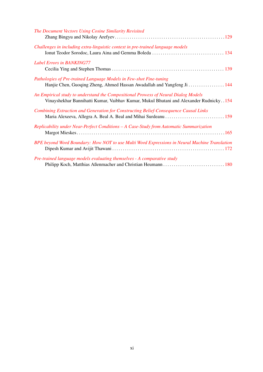| The Document Vectors Using Cosine Similarity Revisited                                                                                                                      |
|-----------------------------------------------------------------------------------------------------------------------------------------------------------------------------|
| Challenges in including extra-linguistic context in pre-trained language models                                                                                             |
| <b>Label Errors in BANKING77</b>                                                                                                                                            |
| Pathologies of Pre-trained Language Models in Few-shot Fine-tuning<br>Hanjie Chen, Guoging Zheng, Ahmed Hassan Awadallah and Yangfeng Ji  144                               |
| An Empirical study to understand the Compositional Prowess of Neural Dialog Models<br>Vinayshekhar Bannihatti Kumar, Vaibhav Kumar, Mukul Bhutani and Alexander Rudnicky154 |
| Combining Extraction and Generation for Constructing Belief-Consequence Causal Links<br>Maria Alexeeva, Allegra A. Beal A. Beal and Mihai Surdeanu  159                     |
| Replicability under Near-Perfect Conditions - A Case-Study from Automatic Summarization                                                                                     |
| BPE beyond Word Boundary: How NOT to use Multi Word Expressions in Neural Machine Translation                                                                               |
| Pre-trained language models evaluating themselves - A comparative study                                                                                                     |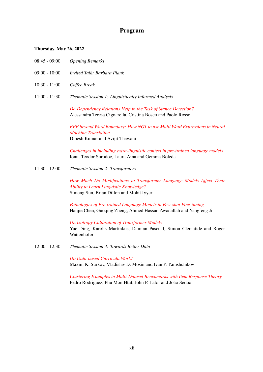### Program

### Thursday, May 26, 2022

- 08:45 09:00 *Opening Remarks*
- 09:00 10:00 *Invited Talk: Barbara Plank*
- 10:30 11:00 *Coffee Break*
- 11:00 11:30 *Thematic Session 1: Linguistically Informed Analysis*

*[Do Dependency Relations Help in the Task of Stance Detection?](#page-0-0)* Alessandra Teresa Cignarella, Cristina Bosco and Paolo Rosso

*[BPE beyond Word Boundary: How NOT to use Multi Word Expressions in Neural](#page-0-0) [Machine Translation](#page-0-0)* Dipesh Kumar and Avijit Thawani

*[Challenges in including extra-linguistic context in pre-trained language models](#page-0-0)* Ionut Teodor Sorodoc, Laura Aina and Gemma Boleda

11:30 - 12:00 *Thematic Session 2: Transformers*

*[How Much Do Modifications to Transformer Language Models Affect Their](#page-0-0) [Ability to Learn Linguistic Knowledge?](#page-0-0)* Simeng Sun, Brian Dillon and Mohit Iyyer

*[Pathologies of Pre-trained Language Models in Few-shot Fine-tuning](#page-0-0)* Hanjie Chen, Guoqing Zheng, Ahmed Hassan Awadallah and Yangfeng Ji

*[On Isotropy Calibration of Transformer Models](#page-0-0)* Yue Ding, Karolis Martinkus, Damian Pascual, Simon Clematide and Roger Wattenhofer

12:00 - 12:30 *Thematic Session 3: Towards Better Data*

*[Do Data-based Curricula Work?](#page-0-0)* Maxim K. Surkov, Vladislav D. Mosin and Ivan P. Yamshchikov

*[Clustering Examples in Multi-Dataset Benchmarks with Item Response Theory](#page-0-0)* Pedro Rodriguez, Phu Mon Htut, John P. Lalor and João Sedoc